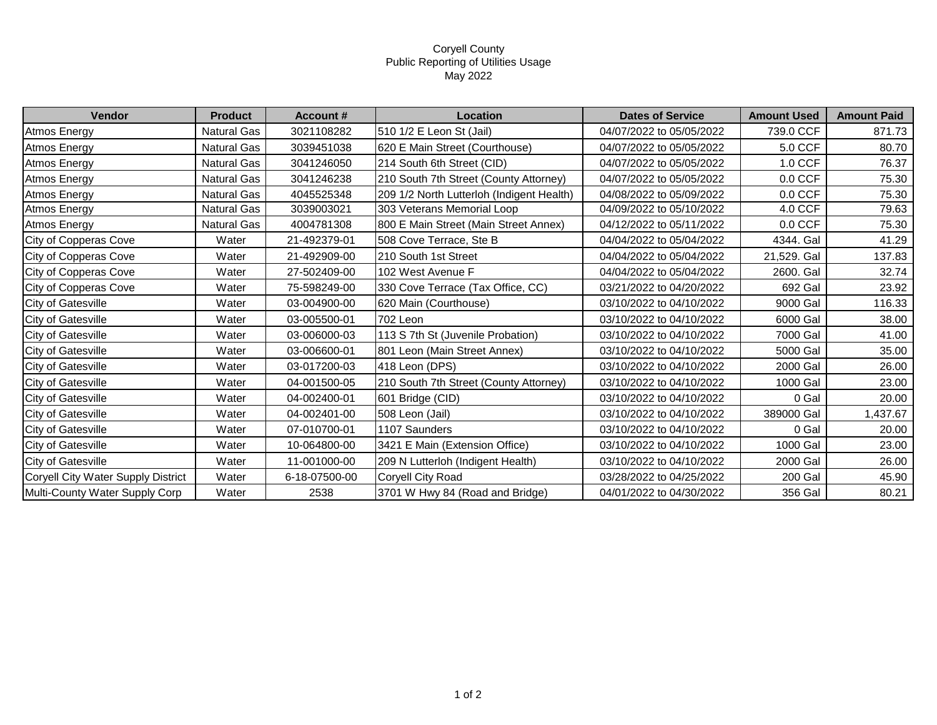## Coryell County Public Reporting of Utilities Usage May 2022

| Vendor                             | <b>Product</b>     | <b>Account #</b> | Location                                  | <b>Dates of Service</b>  | <b>Amount Used</b> | <b>Amount Paid</b> |
|------------------------------------|--------------------|------------------|-------------------------------------------|--------------------------|--------------------|--------------------|
| <b>Atmos Energy</b>                | Natural Gas        | 3021108282       | 510 1/2 E Leon St (Jail)                  | 04/07/2022 to 05/05/2022 | 739.0 CCF          | 871.73             |
| <b>Atmos Energy</b>                | Natural Gas        | 3039451038       | 620 E Main Street (Courthouse)            | 04/07/2022 to 05/05/2022 | 5.0 CCF            | 80.70              |
| <b>Atmos Energy</b>                | Natural Gas        | 3041246050       | 214 South 6th Street (CID)                | 04/07/2022 to 05/05/2022 | 1.0 CCF            | 76.37              |
| <b>Atmos Energy</b>                | Natural Gas        | 3041246238       | 210 South 7th Street (County Attorney)    | 04/07/2022 to 05/05/2022 | $0.0$ CCF          | 75.30              |
| <b>Atmos Energy</b>                | Natural Gas        | 4045525348       | 209 1/2 North Lutterloh (Indigent Health) | 04/08/2022 to 05/09/2022 | $0.0$ CCF          | 75.30              |
| <b>Atmos Energy</b>                | Natural Gas        | 3039003021       | 303 Veterans Memorial Loop                | 04/09/2022 to 05/10/2022 | 4.0 CCF            | 79.63              |
| Atmos Energy                       | <b>Natural Gas</b> | 4004781308       | 800 E Main Street (Main Street Annex)     | 04/12/2022 to 05/11/2022 | $0.0$ CCF          | 75.30              |
| City of Copperas Cove              | Water              | 21-492379-01     | 508 Cove Terrace, Ste B                   | 04/04/2022 to 05/04/2022 | 4344. Gal          | 41.29              |
| City of Copperas Cove              | Water              | 21-492909-00     | 210 South 1st Street                      | 04/04/2022 to 05/04/2022 | 21,529. Gal        | 137.83             |
| City of Copperas Cove              | Water              | 27-502409-00     | 102 West Avenue F                         | 04/04/2022 to 05/04/2022 | 2600. Gal          | 32.74              |
| City of Copperas Cove              | Water              | 75-598249-00     | 330 Cove Terrace (Tax Office, CC)         | 03/21/2022 to 04/20/2022 | 692 Gal            | 23.92              |
| City of Gatesville                 | Water              | 03-004900-00     | 620 Main (Courthouse)                     | 03/10/2022 to 04/10/2022 | 9000 Gal           | 116.33             |
| City of Gatesville                 | Water              | 03-005500-01     | 702 Leon                                  | 03/10/2022 to 04/10/2022 | 6000 Gal           | 38.00              |
| City of Gatesville                 | Water              | 03-006000-03     | 113 S 7th St (Juvenile Probation)         | 03/10/2022 to 04/10/2022 | 7000 Gal           | 41.00              |
| City of Gatesville                 | Water              | 03-006600-01     | 801 Leon (Main Street Annex)              | 03/10/2022 to 04/10/2022 | 5000 Gal           | 35.00              |
| <b>City of Gatesville</b>          | Water              | 03-017200-03     | 418 Leon (DPS)                            | 03/10/2022 to 04/10/2022 | 2000 Gal           | 26.00              |
| City of Gatesville                 | Water              | 04-001500-05     | 210 South 7th Street (County Attorney)    | 03/10/2022 to 04/10/2022 | 1000 Gal           | 23.00              |
| <b>City of Gatesville</b>          | Water              | 04-002400-01     | 601 Bridge (CID)                          | 03/10/2022 to 04/10/2022 | 0 Gal              | 20.00              |
| City of Gatesville                 | Water              | 04-002401-00     | 508 Leon (Jail)                           | 03/10/2022 to 04/10/2022 | 389000 Gal         | 1,437.67           |
| City of Gatesville                 | Water              | 07-010700-01     | 1107 Saunders                             | 03/10/2022 to 04/10/2022 | 0 Gal              | 20.00              |
| City of Gatesville                 | Water              | 10-064800-00     | 3421 E Main (Extension Office)            | 03/10/2022 to 04/10/2022 | 1000 Gal           | 23.00              |
| <b>City of Gatesville</b>          | Water              | 11-001000-00     | 209 N Lutterloh (Indigent Health)         | 03/10/2022 to 04/10/2022 | 2000 Gal           | 26.00              |
| Coryell City Water Supply District | Water              | 6-18-07500-00    | Coryell City Road                         | 03/28/2022 to 04/25/2022 | 200 Gal            | 45.90              |
| Multi-County Water Supply Corp     | Water              | 2538             | 3701 W Hwy 84 (Road and Bridge)           | 04/01/2022 to 04/30/2022 | 356 Gal            | 80.21              |